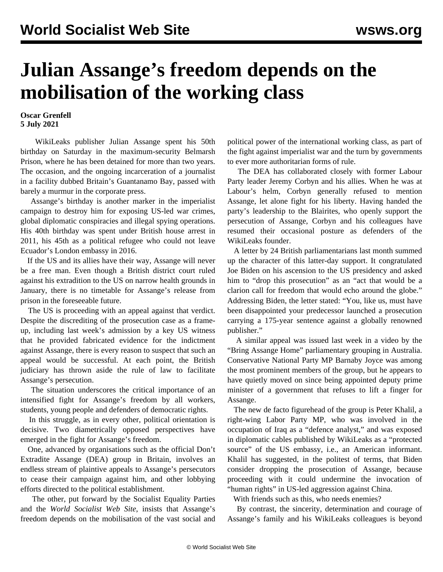## **Julian Assange's freedom depends on the mobilisation of the working class**

## **Oscar Grenfell 5 July 2021**

 WikiLeaks publisher Julian Assange spent his 50th birthday on Saturday in the maximum-security Belmarsh Prison, where he has been detained for more than two years. The occasion, and the ongoing incarceration of a journalist in a facility dubbed Britain's Guantanamo Bay, passed with barely a murmur in the corporate press.

 Assange's birthday is another marker in the imperialist campaign to destroy him for exposing US-led war crimes, global diplomatic conspiracies and illegal spying operations. His 40th birthday was spent under British house arrest in 2011, his 45th as a political refugee who could not leave Ecuador's London embassy in 2016.

 If the US and its allies have their way, Assange will never be a free man. Even though a British district court ruled against his extradition to the US on narrow health grounds in January, there is no timetable for Assange's release from prison in the foreseeable future.

 The US is proceeding with an appeal against that verdict. Despite the discrediting of the prosecution case as a frameup, including last week's admission by a key US witness that he provided fabricated evidence for the indictment against Assange, there is every reason to suspect that such an appeal would be successful. At each point, the British judiciary has thrown aside the rule of law to facilitate Assange's persecution.

 The situation underscores the critical importance of an intensified fight for Assange's freedom by all workers, students, young people and defenders of democratic rights.

 In this struggle, as in every other, political orientation is decisive. Two diametrically opposed perspectives have emerged in the fight for Assange's freedom.

 One, advanced by organisations such as the official Don't Extradite Assange (DEA) group in Britain, involves an endless stream of plaintive appeals to Assange's persecutors to cease their campaign against him, and other lobbying efforts directed to the political establishment.

 The other, put forward by the Socialist Equality Parties and the *World Socialist Web Site*, insists that Assange's freedom depends on the mobilisation of the vast social and political power of the international working class, as part of the fight against imperialist war and the turn by governments to ever more authoritarian forms of rule.

 The DEA has collaborated closely with former Labour Party leader Jeremy Corbyn and his allies. When he was at Labour's helm, Corbyn generally refused to mention Assange, let alone fight for his liberty. Having handed the party's leadership to the Blairites, who openly support the persecution of Assange, Corbyn and his colleagues have resumed their occasional posture as defenders of the WikiLeaks founder.

 A letter by 24 British parliamentarians last month summed up the character of this latter-day support. It congratulated Joe Biden on his ascension to the US presidency and asked him to "drop this prosecution" as an "act that would be a clarion call for freedom that would echo around the globe." Addressing Biden, the letter stated: "You, like us, must have been disappointed your predecessor launched a prosecution carrying a 175-year sentence against a globally renowned publisher."

 A similar appeal was issued last week in a video by the "Bring Assange Home" parliamentary grouping in Australia. Conservative National Party MP Barnaby Joyce was among the most prominent members of the group, but he appears to have quietly moved on since being appointed deputy prime minister of a government that refuses to lift a finger for Assange.

 The new de facto figurehead of the group is Peter Khalil, a right-wing Labor Party MP, who was involved in the occupation of Iraq as a "defence analyst," and was exposed in diplomatic cables published by WikiLeaks as a "protected source" of the US embassy, i.e., an American informant. Khalil has suggested, in the politest of terms, that Biden consider dropping the prosecution of Assange, because proceeding with it could undermine the invocation of "human rights" in US-led aggression against China.

With friends such as this, who needs enemies?

 By contrast, the sincerity, determination and courage of Assange's family and his WikiLeaks colleagues is beyond